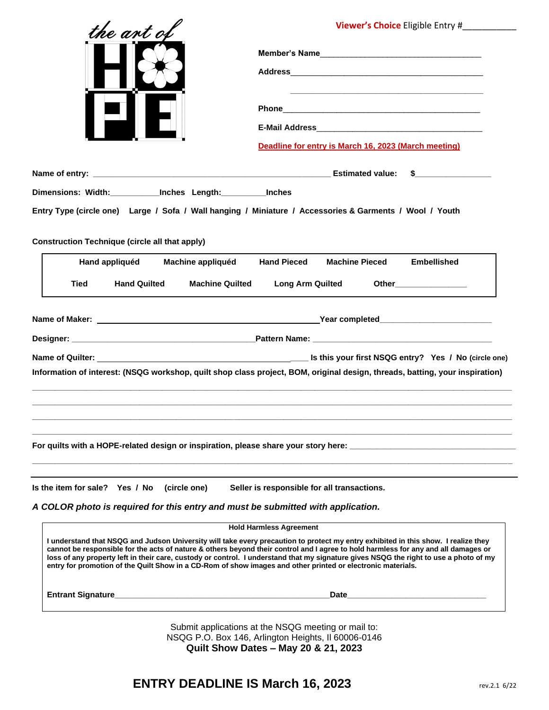| the ant of                                                                                                                      | <b>Viewer's Choice</b> Eligible Entry #                                                                                                                                                                                                                                                                                                                                                                           |
|---------------------------------------------------------------------------------------------------------------------------------|-------------------------------------------------------------------------------------------------------------------------------------------------------------------------------------------------------------------------------------------------------------------------------------------------------------------------------------------------------------------------------------------------------------------|
|                                                                                                                                 | Member's Name                                                                                                                                                                                                                                                                                                                                                                                                     |
|                                                                                                                                 |                                                                                                                                                                                                                                                                                                                                                                                                                   |
|                                                                                                                                 | <u> 1989 - Johann Stoff, amerikansk politiker (d. 1989)</u>                                                                                                                                                                                                                                                                                                                                                       |
|                                                                                                                                 |                                                                                                                                                                                                                                                                                                                                                                                                                   |
|                                                                                                                                 | Deadline for entry is March 16, 2023 (March meeting)                                                                                                                                                                                                                                                                                                                                                              |
|                                                                                                                                 | $\sim$ 5 and 5 and 5 and 5 and 5 and 5 and 5 and 5 and 5 and 5 and 5 and 5 and 5 and 5 and 5 and 5 and 5 and 5 and 5 and 5 and 5 and 5 and 5 and 5 and 5 and 5 and 5 and 5 and 5 and 5 and 5 and 5 and 5 and 5 and 5 and 5 and                                                                                                                                                                                    |
| Dimensions: Width: _____________ Inches Length: __________ Inches                                                               |                                                                                                                                                                                                                                                                                                                                                                                                                   |
| <b>Construction Technique (circle all that apply)</b>                                                                           | Entry Type (circle one) Large / Sofa / Wall hanging / Miniature / Accessories & Garments / Wool / Youth                                                                                                                                                                                                                                                                                                           |
| Hand appliquéd<br>Machine appliquéd                                                                                             | <b>Hand Pieced</b><br><b>Machine Pieced</b><br><b>Embellished</b>                                                                                                                                                                                                                                                                                                                                                 |
| <b>Tied</b><br><b>Hand Quilted</b><br><b>Machine Quilted</b>                                                                    | <b>Long Arm Quilted</b><br>Other__________________                                                                                                                                                                                                                                                                                                                                                                |
|                                                                                                                                 |                                                                                                                                                                                                                                                                                                                                                                                                                   |
|                                                                                                                                 |                                                                                                                                                                                                                                                                                                                                                                                                                   |
|                                                                                                                                 | Information of interest: (NSQG workshop, quilt shop class project, BOM, original design, threads, batting, your inspiration)                                                                                                                                                                                                                                                                                      |
|                                                                                                                                 |                                                                                                                                                                                                                                                                                                                                                                                                                   |
|                                                                                                                                 |                                                                                                                                                                                                                                                                                                                                                                                                                   |
| Is the item for sale? Yes / No (circle one)<br>A COLOR photo is required for this entry and must be submitted with application. | Seller is responsible for all transactions.                                                                                                                                                                                                                                                                                                                                                                       |
|                                                                                                                                 | <b>Hold Harmless Agreement</b>                                                                                                                                                                                                                                                                                                                                                                                    |
| entry for promotion of the Quilt Show in a CD-Rom of show images and other printed or electronic materials.                     | I understand that NSQG and Judson University will take every precaution to protect my entry exhibited in this show. I realize they<br>cannot be responsible for the acts of nature & others beyond their control and I agree to hold harmless for any and all damages or<br>loss of any property left in their care, custody or control. I understand that my signature gives NSQG the right to use a photo of my |
|                                                                                                                                 | Date and the contract of the contract of the contract of the contract of the contract of the contract of the contract of the contract of the contract of the contract of the contract of the contract of the contract of the c                                                                                                                                                                                    |
|                                                                                                                                 | Submit applications at the NSOG meeting or mail to:                                                                                                                                                                                                                                                                                                                                                               |

Submit applications at the NSQG meeting or mail to: NSQG P.O. Box 146, Arlington Heights, Il 60006-0146 **Quilt Show Dates – May 20 & 21, 2023**

## **ENTRY DEADLINE IS March 16, 2023** rev.2.1 6/22